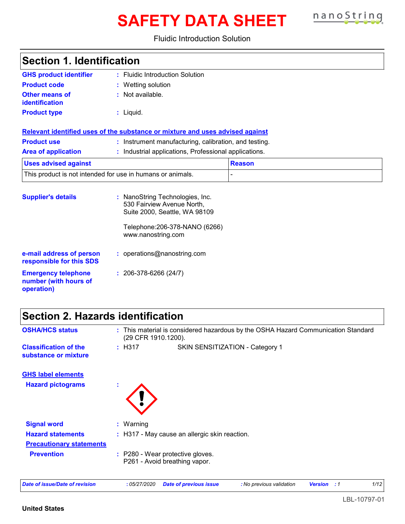# **SAFETY DATA SHEET nanoString**



### Fluidic Introduction Solution

| <b>Section 1. Identification</b>                                  |                                                                                                |                |  |
|-------------------------------------------------------------------|------------------------------------------------------------------------------------------------|----------------|--|
| <b>GHS product identifier</b>                                     | : Fluidic Introduction Solution                                                                |                |  |
| <b>Product code</b>                                               | Wetting solution                                                                               |                |  |
| <b>Other means of</b><br><b>identification</b>                    | : Not available.                                                                               |                |  |
| <b>Product type</b>                                               | $:$ Liquid.                                                                                    |                |  |
|                                                                   | Relevant identified uses of the substance or mixture and uses advised against                  |                |  |
| <b>Product use</b>                                                | : Instrument manufacturing, calibration, and testing.                                          |                |  |
| <b>Area of application</b>                                        | Industrial applications, Professional applications.                                            |                |  |
| <b>Uses advised against</b>                                       | <b>Reason</b>                                                                                  |                |  |
|                                                                   | This product is not intended for use in humans or animals.                                     | $\overline{a}$ |  |
| <b>Supplier's details</b>                                         | : NanoString Technologies, Inc.<br>530 Fairview Avenue North,<br>Suite 2000, Seattle, WA 98109 |                |  |
|                                                                   | Telephone: 206-378-NANO (6266)<br>www.nanostring.com                                           |                |  |
| e-mail address of person<br>responsible for this SDS              | : operations@nanostring.com                                                                    |                |  |
| <b>Emergency telephone</b><br>number (with hours of<br>operation) | $: 206-378-6266(24/7)$                                                                         |                |  |

# **Section 2. Hazards identification**

| <b>OSHA/HCS status</b>                               | : This material is considered hazardous by the OSHA Hazard Communication Standard<br>(29 CFR 1910.1200). |
|------------------------------------------------------|----------------------------------------------------------------------------------------------------------|
| <b>Classification of the</b><br>substance or mixture | : H317<br>SKIN SENSITIZATION - Category 1                                                                |
| <b>GHS label elements</b>                            |                                                                                                          |
| <b>Hazard pictograms</b>                             | $\mathbf{r}$                                                                                             |
|                                                      |                                                                                                          |
|                                                      |                                                                                                          |
| <b>Signal word</b>                                   | $:$ Warning                                                                                              |
| <b>Hazard statements</b>                             | : H317 - May cause an allergic skin reaction.                                                            |
| <b>Precautionary statements</b>                      |                                                                                                          |
| <b>Prevention</b>                                    | : P280 - Wear protective gloves.<br>P261 - Avoid breathing vapor.                                        |
|                                                      |                                                                                                          |

*Date of issue/Date of revision* **:** *05/27/2020 Date of previous issue : No previous validation Version : 1 1/12*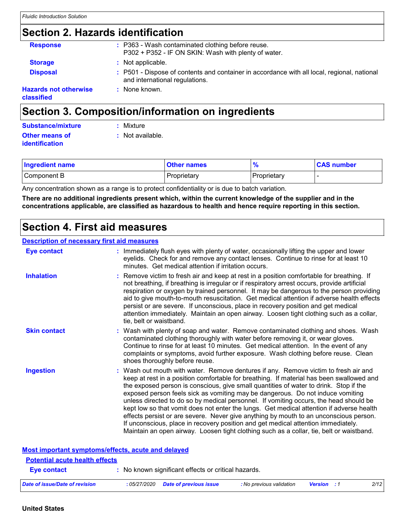### **Section 2. Hazards identification**

| - -                                        | .                                                                                                                             |
|--------------------------------------------|-------------------------------------------------------------------------------------------------------------------------------|
| <b>Hazards not otherwise</b><br>classified | : None known.                                                                                                                 |
| <b>Disposal</b>                            | : P501 - Dispose of contents and container in accordance with all local, regional, national<br>and international regulations. |
| <b>Storage</b>                             | : Not applicable.                                                                                                             |
| <b>Response</b>                            | : P363 - Wash contaminated clothing before reuse.<br>P302 + P352 - IF ON SKIN: Wash with plenty of water.                     |

### **Section 3. Composition/information on ingredients**

| <b>Substance/mixture</b>         | : Mixture          |
|----------------------------------|--------------------|
| Other means of<br>identification | $:$ Not available. |

| <b>Ingredient name</b> | <b>Other names</b> |                    | <b>CAS number</b> |
|------------------------|--------------------|--------------------|-------------------|
| Component B            | Proprietary        | <b>Proprietary</b> |                   |

Any concentration shown as a range is to protect confidentiality or is due to batch variation.

**There are no additional ingredients present which, within the current knowledge of the supplier and in the concentrations applicable, are classified as hazardous to health and hence require reporting in this section.**

### **Section 4. First aid measures**

### **Description of necessary first aid measures**

| <b>Eye contact</b>  | : Immediately flush eyes with plenty of water, occasionally lifting the upper and lower<br>eyelids. Check for and remove any contact lenses. Continue to rinse for at least 10<br>minutes. Get medical attention if irritation occurs.                                                                                                                                                                                                                                                                                                                                                                                                                                                                                                                                                                                    |
|---------------------|---------------------------------------------------------------------------------------------------------------------------------------------------------------------------------------------------------------------------------------------------------------------------------------------------------------------------------------------------------------------------------------------------------------------------------------------------------------------------------------------------------------------------------------------------------------------------------------------------------------------------------------------------------------------------------------------------------------------------------------------------------------------------------------------------------------------------|
| <b>Inhalation</b>   | : Remove victim to fresh air and keep at rest in a position comfortable for breathing. If<br>not breathing, if breathing is irregular or if respiratory arrest occurs, provide artificial<br>respiration or oxygen by trained personnel. It may be dangerous to the person providing<br>aid to give mouth-to-mouth resuscitation. Get medical attention if adverse health effects<br>persist or are severe. If unconscious, place in recovery position and get medical<br>attention immediately. Maintain an open airway. Loosen tight clothing such as a collar,<br>tie, belt or waistband.                                                                                                                                                                                                                              |
| <b>Skin contact</b> | : Wash with plenty of soap and water. Remove contaminated clothing and shoes. Wash<br>contaminated clothing thoroughly with water before removing it, or wear gloves.<br>Continue to rinse for at least 10 minutes. Get medical attention. In the event of any<br>complaints or symptoms, avoid further exposure. Wash clothing before reuse. Clean<br>shoes thoroughly before reuse.                                                                                                                                                                                                                                                                                                                                                                                                                                     |
| <b>Ingestion</b>    | : Wash out mouth with water. Remove dentures if any. Remove victim to fresh air and<br>keep at rest in a position comfortable for breathing. If material has been swallowed and<br>the exposed person is conscious, give small quantities of water to drink. Stop if the<br>exposed person feels sick as vomiting may be dangerous. Do not induce vomiting<br>unless directed to do so by medical personnel. If vomiting occurs, the head should be<br>kept low so that vomit does not enter the lungs. Get medical attention if adverse health<br>effects persist or are severe. Never give anything by mouth to an unconscious person.<br>If unconscious, place in recovery position and get medical attention immediately.<br>Maintain an open airway. Loosen tight clothing such as a collar, tie, belt or waistband. |

| Most important symptoms/effects, acute and delayed |              |                                                     |                          |                    |      |
|----------------------------------------------------|--------------|-----------------------------------------------------|--------------------------|--------------------|------|
| <b>Potential acute health effects</b>              |              |                                                     |                          |                    |      |
| Eye contact                                        |              | : No known significant effects or critical hazards. |                          |                    |      |
| Date of issue/Date of revision                     | : 05/27/2020 | <b>Date of previous issue</b>                       | : No previous validation | <b>Version</b> : 1 | 2/12 |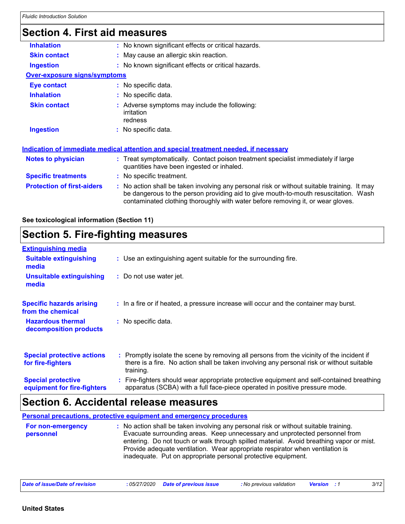# **Section 4. First aid measures**

| OGONIONI TI I NOL GIU MIGUOGICO     |                                                                                                                                                                                                                                                                       |  |
|-------------------------------------|-----------------------------------------------------------------------------------------------------------------------------------------------------------------------------------------------------------------------------------------------------------------------|--|
| <b>Inhalation</b>                   | : No known significant effects or critical hazards.                                                                                                                                                                                                                   |  |
| <b>Skin contact</b>                 | : May cause an allergic skin reaction.                                                                                                                                                                                                                                |  |
| <b>Ingestion</b>                    | : No known significant effects or critical hazards.                                                                                                                                                                                                                   |  |
| <b>Over-exposure signs/symptoms</b> |                                                                                                                                                                                                                                                                       |  |
| <b>Eye contact</b>                  | : No specific data.                                                                                                                                                                                                                                                   |  |
| <b>Inhalation</b>                   | : No specific data.                                                                                                                                                                                                                                                   |  |
| <b>Skin contact</b>                 | : Adverse symptoms may include the following:<br>irritation<br>redness                                                                                                                                                                                                |  |
| <b>Ingestion</b>                    | : No specific data.                                                                                                                                                                                                                                                   |  |
|                                     | Indication of immediate medical attention and special treatment needed, if necessary                                                                                                                                                                                  |  |
| <b>Notes to physician</b>           | : Treat symptomatically. Contact poison treatment specialist immediately if large<br>quantities have been ingested or inhaled.                                                                                                                                        |  |
| <b>Specific treatments</b>          | : No specific treatment.                                                                                                                                                                                                                                              |  |
| <b>Protection of first-aiders</b>   | : No action shall be taken involving any personal risk or without suitable training. It may<br>be dangerous to the person providing aid to give mouth-to-mouth resuscitation. Wash<br>contaminated clothing thoroughly with water before removing it, or wear gloves. |  |

**See toxicological information (Section 11)**

# **Section 5. Fire-fighting measures**

| <b>Extinguishing media</b>                               |                                                                                                                                                                                                     |
|----------------------------------------------------------|-----------------------------------------------------------------------------------------------------------------------------------------------------------------------------------------------------|
| <b>Suitable extinguishing</b><br>media                   | : Use an extinguishing agent suitable for the surrounding fire.                                                                                                                                     |
| <b>Unsuitable extinguishing</b><br>media                 | : Do not use water jet.                                                                                                                                                                             |
| <b>Specific hazards arising</b><br>from the chemical     | : In a fire or if heated, a pressure increase will occur and the container may burst.                                                                                                               |
| <b>Hazardous thermal</b><br>decomposition products       | : No specific data.                                                                                                                                                                                 |
| <b>Special protective actions</b><br>for fire-fighters   | : Promptly isolate the scene by removing all persons from the vicinity of the incident if<br>there is a fire. No action shall be taken involving any personal risk or without suitable<br>training. |
| <b>Special protective</b><br>equipment for fire-fighters | : Fire-fighters should wear appropriate protective equipment and self-contained breathing<br>apparatus (SCBA) with a full face-piece operated in positive pressure mode.                            |

# **Section 6. Accidental release measures**

|                                | Personal precautions, protective equipment and emergency procedures                                                                                                                                                                                                                                                                                                                                              |
|--------------------------------|------------------------------------------------------------------------------------------------------------------------------------------------------------------------------------------------------------------------------------------------------------------------------------------------------------------------------------------------------------------------------------------------------------------|
| For non-emergency<br>personnel | : No action shall be taken involving any personal risk or without suitable training.<br>Evacuate surrounding areas. Keep unnecessary and unprotected personnel from<br>entering. Do not touch or walk through spilled material. Avoid breathing vapor or mist.<br>Provide adequate ventilation. Wear appropriate respirator when ventilation is<br>inadequate. Put on appropriate personal protective equipment. |

| Date of issue/Date of revision | : 05/27/2020 Date of previous issue | : No previous validation | <b>Version</b> : 1 | 3/12 |
|--------------------------------|-------------------------------------|--------------------------|--------------------|------|
|--------------------------------|-------------------------------------|--------------------------|--------------------|------|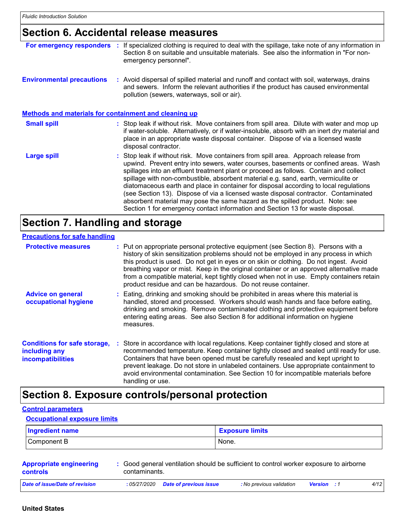### **Section 6. Accidental release measures**

| <b>For emergency responders</b>                              | If specialized clothing is required to deal with the spillage, take note of any information in<br>Section 8 on suitable and unsuitable materials. See also the information in "For non-<br>emergency personnel".                                                                                                                                                                                                                                                                                                                                                                                                                                                                                             |
|--------------------------------------------------------------|--------------------------------------------------------------------------------------------------------------------------------------------------------------------------------------------------------------------------------------------------------------------------------------------------------------------------------------------------------------------------------------------------------------------------------------------------------------------------------------------------------------------------------------------------------------------------------------------------------------------------------------------------------------------------------------------------------------|
| <b>Environmental precautions</b>                             | : Avoid dispersal of spilled material and runoff and contact with soil, waterways, drains<br>and sewers. Inform the relevant authorities if the product has caused environmental<br>pollution (sewers, waterways, soil or air).                                                                                                                                                                                                                                                                                                                                                                                                                                                                              |
| <b>Methods and materials for containment and cleaning up</b> |                                                                                                                                                                                                                                                                                                                                                                                                                                                                                                                                                                                                                                                                                                              |
| <b>Small spill</b>                                           | : Stop leak if without risk. Move containers from spill area. Dilute with water and mop up<br>if water-soluble. Alternatively, or if water-insoluble, absorb with an inert dry material and<br>place in an appropriate waste disposal container. Dispose of via a licensed waste<br>disposal contractor.                                                                                                                                                                                                                                                                                                                                                                                                     |
| <b>Large spill</b>                                           | : Stop leak if without risk. Move containers from spill area. Approach release from<br>upwind. Prevent entry into sewers, water courses, basements or confined areas. Wash<br>spillages into an effluent treatment plant or proceed as follows. Contain and collect<br>spillage with non-combustible, absorbent material e.g. sand, earth, vermiculite or<br>diatomaceous earth and place in container for disposal according to local regulations<br>(see Section 13). Dispose of via a licensed waste disposal contractor. Contaminated<br>absorbent material may pose the same hazard as the spilled product. Note: see<br>Section 1 for emergency contact information and Section 13 for waste disposal. |

# **Section 7. Handling and storage**

#### **Precautions for safe handling**

| <b>Protective measures</b>                                                       | : Put on appropriate personal protective equipment (see Section 8). Persons with a<br>history of skin sensitization problems should not be employed in any process in which<br>this product is used. Do not get in eyes or on skin or clothing. Do not ingest. Avoid<br>breathing vapor or mist. Keep in the original container or an approved alternative made<br>from a compatible material, kept tightly closed when not in use. Empty containers retain<br>product residue and can be hazardous. Do not reuse container. |
|----------------------------------------------------------------------------------|------------------------------------------------------------------------------------------------------------------------------------------------------------------------------------------------------------------------------------------------------------------------------------------------------------------------------------------------------------------------------------------------------------------------------------------------------------------------------------------------------------------------------|
| <b>Advice on general</b><br>occupational hygiene                                 | : Eating, drinking and smoking should be prohibited in areas where this material is<br>handled, stored and processed. Workers should wash hands and face before eating,<br>drinking and smoking. Remove contaminated clothing and protective equipment before<br>entering eating areas. See also Section 8 for additional information on hygiene<br>measures.                                                                                                                                                                |
| <b>Conditions for safe storage,</b><br>including any<br><b>incompatibilities</b> | Store in accordance with local regulations. Keep container tightly closed and store at<br>recommended temperature. Keep container tightly closed and sealed until ready for use.<br>Containers that have been opened must be carefully resealed and kept upright to<br>prevent leakage. Do not store in unlabeled containers. Use appropriate containment to<br>avoid environmental contamination. See Section 10 for incompatible materials before<br>handling or use.                                                      |

# **Section 8. Exposure controls/personal protection**

### Component B None. **Ingredient name Exposure limits Control parameters Occupational exposure limits**

| <b>Appropriate engineering</b><br>controls | : Good general ventilation should be sufficient to control worker exposure to airborne<br>contaminants. |                                     |                          |                    |  |      |
|--------------------------------------------|---------------------------------------------------------------------------------------------------------|-------------------------------------|--------------------------|--------------------|--|------|
| Date of issue/Date of revision             |                                                                                                         | : 05/27/2020 Date of previous issue | : No previous validation | <b>Version</b> : 1 |  | 4/12 |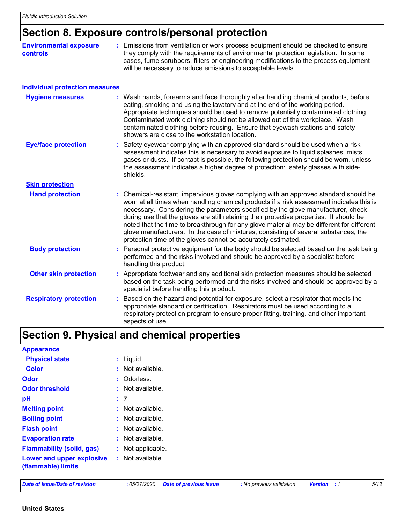# **Section 8. Exposure controls/personal protection**

| <b>Environmental exposure</b><br><b>controls</b> | Emissions from ventilation or work process equipment should be checked to ensure<br>they comply with the requirements of environmental protection legislation. In some<br>cases, fume scrubbers, filters or engineering modifications to the process equipment<br>will be necessary to reduce emissions to acceptable levels.                                                                                                                                                                                                                                                                                          |  |
|--------------------------------------------------|------------------------------------------------------------------------------------------------------------------------------------------------------------------------------------------------------------------------------------------------------------------------------------------------------------------------------------------------------------------------------------------------------------------------------------------------------------------------------------------------------------------------------------------------------------------------------------------------------------------------|--|
| <b>Individual protection measures</b>            |                                                                                                                                                                                                                                                                                                                                                                                                                                                                                                                                                                                                                        |  |
| <b>Hygiene measures</b>                          | : Wash hands, forearms and face thoroughly after handling chemical products, before<br>eating, smoking and using the lavatory and at the end of the working period.<br>Appropriate techniques should be used to remove potentially contaminated clothing.<br>Contaminated work clothing should not be allowed out of the workplace. Wash<br>contaminated clothing before reusing. Ensure that eyewash stations and safety<br>showers are close to the workstation location.                                                                                                                                            |  |
| <b>Eye/face protection</b>                       | Safety eyewear complying with an approved standard should be used when a risk<br>assessment indicates this is necessary to avoid exposure to liquid splashes, mists,<br>gases or dusts. If contact is possible, the following protection should be worn, unless<br>the assessment indicates a higher degree of protection: safety glasses with side-<br>shields.                                                                                                                                                                                                                                                       |  |
| <b>Skin protection</b>                           |                                                                                                                                                                                                                                                                                                                                                                                                                                                                                                                                                                                                                        |  |
| <b>Hand protection</b>                           | : Chemical-resistant, impervious gloves complying with an approved standard should be<br>worn at all times when handling chemical products if a risk assessment indicates this is<br>necessary. Considering the parameters specified by the glove manufacturer, check<br>during use that the gloves are still retaining their protective properties. It should be<br>noted that the time to breakthrough for any glove material may be different for different<br>glove manufacturers. In the case of mixtures, consisting of several substances, the<br>protection time of the gloves cannot be accurately estimated. |  |
| <b>Body protection</b>                           | Personal protective equipment for the body should be selected based on the task being<br>performed and the risks involved and should be approved by a specialist before<br>handling this product.                                                                                                                                                                                                                                                                                                                                                                                                                      |  |
| <b>Other skin protection</b>                     | Appropriate footwear and any additional skin protection measures should be selected<br>based on the task being performed and the risks involved and should be approved by a<br>specialist before handling this product.                                                                                                                                                                                                                                                                                                                                                                                                |  |
| <b>Respiratory protection</b>                    | Based on the hazard and potential for exposure, select a respirator that meets the<br>÷.<br>appropriate standard or certification. Respirators must be used according to a<br>respiratory protection program to ensure proper fitting, training, and other important<br>aspects of use.                                                                                                                                                                                                                                                                                                                                |  |

# **Section 9. Physical and chemical properties**

| <b>Appearance</b>                               |                    |
|-------------------------------------------------|--------------------|
| <b>Physical state</b>                           | $:$ Liquid.        |
| <b>Color</b>                                    | : Not available.   |
| <b>Odor</b>                                     | : Odorless.        |
| <b>Odor threshold</b>                           | $:$ Not available. |
| pH                                              | $\frac{1}{2}$ 7    |
| <b>Melting point</b>                            | $:$ Not available. |
| <b>Boiling point</b>                            | : Not available.   |
| <b>Flash point</b>                              | $:$ Not available. |
| <b>Evaporation rate</b>                         | : Not available.   |
| <b>Flammability (solid, gas)</b>                | : Not applicable.  |
| Lower and upper explosive<br>(flammable) limits | : Not available.   |

| Date of issue/Date of revision |  |  |  |  |  |  |  |  |  |
|--------------------------------|--|--|--|--|--|--|--|--|--|
|--------------------------------|--|--|--|--|--|--|--|--|--|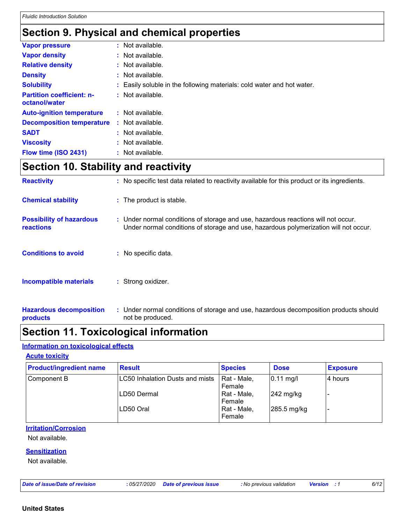# **Section 9. Physical and chemical properties**

| <b>Vapor pressure</b>                             | : Not available.                                                       |
|---------------------------------------------------|------------------------------------------------------------------------|
| <b>Vapor density</b>                              | : Not available.                                                       |
| <b>Relative density</b>                           | : Not available.                                                       |
| <b>Density</b>                                    | : Not available.                                                       |
| <b>Solubility</b>                                 | : Easily soluble in the following materials: cold water and hot water. |
| <b>Partition coefficient: n-</b><br>octanol/water | $:$ Not available.                                                     |
| <b>Auto-ignition temperature</b>                  | $:$ Not available.                                                     |
| <b>Decomposition temperature</b>                  | : Not available.                                                       |
| <b>SADT</b>                                       | $:$ Not available.                                                     |
| <b>Viscosity</b>                                  | $:$ Not available.                                                     |
| Flow time (ISO 2431)                              | : Not available.                                                       |

# **Section 10. Stability and reactivity**

| <b>Reactivity</b>                            | : No specific test data related to reactivity available for this product or its ingredients.                                                                              |
|----------------------------------------------|---------------------------------------------------------------------------------------------------------------------------------------------------------------------------|
| <b>Chemical stability</b>                    | : The product is stable.                                                                                                                                                  |
| <b>Possibility of hazardous</b><br>reactions | : Under normal conditions of storage and use, hazardous reactions will not occur.<br>Under normal conditions of storage and use, hazardous polymerization will not occur. |
| <b>Conditions to avoid</b>                   | : No specific data.                                                                                                                                                       |
| <b>Incompatible materials</b>                | : Strong oxidizer.                                                                                                                                                        |
| <b>Hazardous decomposition</b>               | : Under normal conditions of storage and use, hazardous decomposition products should                                                                                     |

**products**

Under normal conditions of storage and use, hazardous decomposition products should not be produced.

# **Section 11. Toxicological information**

### **Information on toxicological effects**

### **Acute toxicity**

| <b>Product/ingredient name</b> | <b>Result</b>                   | <b>Species</b>        | <b>Dose</b> | <b>Exposure</b> |
|--------------------------------|---------------------------------|-----------------------|-------------|-----------------|
| Component B                    | LC50 Inhalation Dusts and mists | Rat - Male,<br>Female | $0.11$ mg/l | 4 hours         |
|                                | <b>ILD50 Dermal</b>             | Rat - Male,<br>Female | $242$ mg/kg |                 |
|                                | LD50 Oral                       | Rat - Male,<br>Female | 285.5 mg/kg |                 |

### **Irritation/Corrosion**

Not available.

### **Sensitization**

Not available.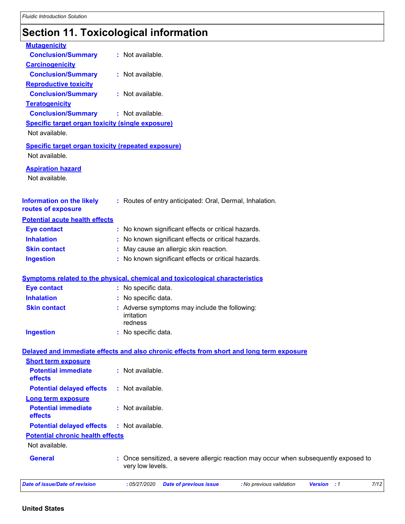# **Section 11. Toxicological information**

| <b>Mutagenicity</b>                                       |                                                                                                  |
|-----------------------------------------------------------|--------------------------------------------------------------------------------------------------|
| <b>Conclusion/Summary</b>                                 | : Not available.                                                                                 |
| <b>Carcinogenicity</b>                                    |                                                                                                  |
| <b>Conclusion/Summary</b>                                 | : Not available.                                                                                 |
| <b>Reproductive toxicity</b>                              |                                                                                                  |
| <b>Conclusion/Summary</b>                                 | : Not available.                                                                                 |
| <b>Teratogenicity</b>                                     |                                                                                                  |
| <b>Conclusion/Summary</b>                                 | : Not available.                                                                                 |
| <b>Specific target organ toxicity (single exposure)</b>   |                                                                                                  |
| Not available.                                            |                                                                                                  |
| <b>Specific target organ toxicity (repeated exposure)</b> |                                                                                                  |
| Not available.                                            |                                                                                                  |
| <b>Aspiration hazard</b>                                  |                                                                                                  |
| Not available.                                            |                                                                                                  |
|                                                           |                                                                                                  |
| <b>Information on the likely</b>                          | : Routes of entry anticipated: Oral, Dermal, Inhalation.                                         |
| routes of exposure                                        |                                                                                                  |
| <b>Potential acute health effects</b>                     |                                                                                                  |
| <b>Eye contact</b>                                        | : No known significant effects or critical hazards.                                              |
| <b>Inhalation</b>                                         | : No known significant effects or critical hazards.                                              |
| <b>Skin contact</b>                                       | : May cause an allergic skin reaction.                                                           |
| <b>Ingestion</b>                                          | : No known significant effects or critical hazards.                                              |
|                                                           |                                                                                                  |
|                                                           | Symptoms related to the physical, chemical and toxicological characteristics                     |
| <b>Eye contact</b>                                        | : No specific data.                                                                              |
| <b>Inhalation</b>                                         | : No specific data.                                                                              |
| <b>Skin contact</b>                                       | : Adverse symptoms may include the following:                                                    |
|                                                           | irritation                                                                                       |
| <b>Ingestion</b>                                          | redness<br>: No specific data.                                                                   |
|                                                           |                                                                                                  |
|                                                           | Delayed and immediate effects and also chronic effects from short and long term exposure         |
| <b>Short term exposure</b>                                |                                                                                                  |
| <b>Potential immediate</b>                                | : Not available.                                                                                 |
| effects                                                   |                                                                                                  |
| <b>Potential delayed effects</b>                          | : Not available.                                                                                 |
| <b>Long term exposure</b>                                 |                                                                                                  |
| <b>Potential immediate</b>                                | : Not available.                                                                                 |
| effects                                                   |                                                                                                  |
| <b>Potential delayed effects</b>                          | : Not available.                                                                                 |
| <b>Potential chronic health effects</b>                   |                                                                                                  |
| Not available.                                            |                                                                                                  |
| <b>General</b>                                            | : Once sensitized, a severe allergic reaction may occur when subsequently exposed to             |
|                                                           | very low levels.                                                                                 |
|                                                           |                                                                                                  |
| <b>Date of issue/Date of revision</b>                     | 7/12<br>: 05/27/2020<br><b>Date of previous issue</b><br>: No previous validation<br>Version : 1 |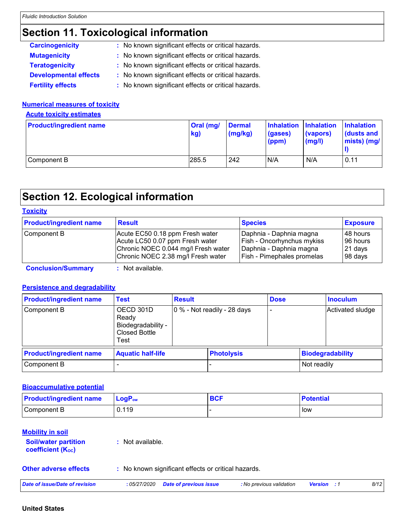# **Section 11. Toxicological information**

| <b>Carcinogenicity</b>       | : No known significant effects or critical hazards. |
|------------------------------|-----------------------------------------------------|
| <b>Mutagenicity</b>          | : No known significant effects or critical hazards. |
| <b>Teratogenicity</b>        | : No known significant effects or critical hazards. |
| <b>Developmental effects</b> | : No known significant effects or critical hazards. |
| <b>Fertility effects</b>     | : No known significant effects or critical hazards. |

### **Numerical measures of toxicity**

|  | <b>Acute toxicity estimates</b> |  |
|--|---------------------------------|--|
|  |                                 |  |

| <b>Product/ingredient name</b> | Oral (mg/<br>kg) | <b>Dermal</b><br>(mg/kg) | Inhalation Inhalation<br>(gases)<br>$\mathsf{(ppm)}$ | (vapors)<br>(mg/l) | <b>Inhalation</b><br>$\vert$ (dusts and<br>$mists)$ (mg/ |
|--------------------------------|------------------|--------------------------|------------------------------------------------------|--------------------|----------------------------------------------------------|
| Component B                    | 285.5            | 242                      | N/A                                                  | N/A                | 0.11                                                     |

# **Section 12. Ecological information**

### **Toxicity**

| <b>Product/ingredient name</b> | <b>Result</b>                                                                                                                                   | <b>Species</b>                                                                                                               | <b>Exposure</b>                                |
|--------------------------------|-------------------------------------------------------------------------------------------------------------------------------------------------|------------------------------------------------------------------------------------------------------------------------------|------------------------------------------------|
| Component B                    | Acute EC50 0.18 ppm Fresh water<br>Acute LC50 0.07 ppm Fresh water<br>Chronic NOEC 0.044 mg/l Fresh water<br>Chronic NOEC 2.38 mg/l Fresh water | Daphnia - Daphnia magna<br><b>Fish - Oncorhynchus mykiss</b><br>Daphnia - Daphnia magna<br><b>Fish - Pimephales promelas</b> | 148 hours<br>196 hours<br>$21$ days<br>98 days |
| <b>Conclusion/Summary</b>      | : Not available.                                                                                                                                |                                                                                                                              |                                                |

### **Persistence and degradability**

| <b>Product/ingredient name</b> | Test                                                              | <b>Result</b> |                             | <b>Dose</b> |             | <b>Inoculum</b>         |
|--------------------------------|-------------------------------------------------------------------|---------------|-----------------------------|-------------|-------------|-------------------------|
| Component B                    | OECD 301D<br>Ready<br>Biodegradability -<br>Closed Bottle<br>Test |               | 0 % - Not readily - 28 days |             |             | Activated sludge        |
| <b>Product/ingredient name</b> | <b>Aquatic half-life</b>                                          |               | <b>Photolysis</b>           |             |             | <b>Biodegradability</b> |
| Component B                    |                                                                   |               |                             |             | Not readily |                         |

### **Bioaccumulative potential**

| <b>Product/ingredient name</b> | $LogPow$ | <b>BCF</b> | <b>Potential</b> |
|--------------------------------|----------|------------|------------------|
| Component B                    | 0.119    |            | l low            |

| <b>Mobility in soil</b><br><b>Soil/water partition</b><br><b>coefficient (Koc)</b> | : Not available.                                    |
|------------------------------------------------------------------------------------|-----------------------------------------------------|
| <b>Other adverse effects</b>                                                       | : No known significant effects or critical hazards. |

### *Date of issue/Date of revision* **:** *05/27/2020 Date of previous issue : No previous validation Version : 1 8/12*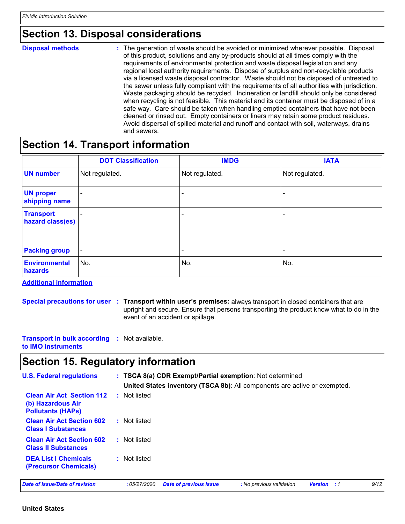# **Section 13. Disposal considerations**

#### The generation of waste should be avoided or minimized wherever possible. Disposal of this product, solutions and any by-products should at all times comply with the requirements of environmental protection and waste disposal legislation and any regional local authority requirements. Dispose of surplus and non-recyclable products via a licensed waste disposal contractor. Waste should not be disposed of untreated to the sewer unless fully compliant with the requirements of all authorities with jurisdiction. Waste packaging should be recycled. Incineration or landfill should only be considered when recycling is not feasible. This material and its container must be disposed of in a safe way. Care should be taken when handling emptied containers that have not been cleaned or rinsed out. Empty containers or liners may retain some product residues. Avoid dispersal of spilled material and runoff and contact with soil, waterways, drains and sewers. **Disposal methods :**

### **Section 14. Transport information**

|                                      | <b>DOT Classification</b> | <b>IMDG</b>              | <b>IATA</b>              |
|--------------------------------------|---------------------------|--------------------------|--------------------------|
| <b>UN number</b>                     | Not regulated.            | Not regulated.           | Not regulated.           |
| <b>UN proper</b><br>shipping name    | $\overline{\phantom{a}}$  | $\qquad \qquad$          | $\overline{\phantom{0}}$ |
| <b>Transport</b><br>hazard class(es) | $\overline{\phantom{a}}$  | $\overline{\phantom{0}}$ | $\overline{\phantom{0}}$ |
| <b>Packing group</b>                 | $\overline{\phantom{a}}$  | $\qquad \qquad$          | $\overline{\phantom{a}}$ |
| <b>Environmental</b><br>hazards      | No.                       | No.                      | No.                      |

**Additional information**

**Special precautions for user Transport within user's premises:** always transport in closed containers that are **:** upright and secure. Ensure that persons transporting the product know what to do in the event of an accident or spillage.

**Transport in bulk according :** Not available. **to IMO instruments**

### **Section 15. Regulatory information**

| <b>U.S. Federal regulations</b>                                                   |              |                               | : TSCA 8(a) CDR Exempt/Partial exemption: Not determined<br>United States inventory (TSCA 8b): All components are active or exempted. |         |            |      |
|-----------------------------------------------------------------------------------|--------------|-------------------------------|---------------------------------------------------------------------------------------------------------------------------------------|---------|------------|------|
| <b>Clean Air Act Section 112</b><br>(b) Hazardous Air<br><b>Pollutants (HAPS)</b> | : Not listed |                               |                                                                                                                                       |         |            |      |
| <b>Clean Air Act Section 602</b><br><b>Class I Substances</b>                     | : Not listed |                               |                                                                                                                                       |         |            |      |
| <b>Clean Air Act Section 602</b><br><b>Class II Substances</b>                    | : Not listed |                               |                                                                                                                                       |         |            |      |
| <b>DEA List I Chemicals</b><br>(Precursor Chemicals)                              | : Not listed |                               |                                                                                                                                       |         |            |      |
| Date of issue/Date of revision                                                    | :05/27/2020  | <b>Date of previous issue</b> | : No previous validation                                                                                                              | Version | $\cdot$ :1 | 9/12 |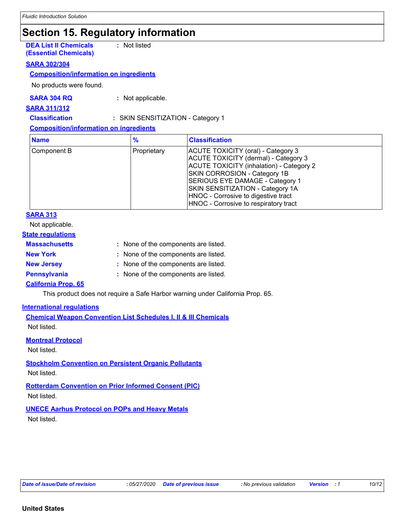### **Section 15. Regulatory information**

#### **DEA List II Chemicals (Essential Chemicals)**

**:** Not listed

### **SARA 302/304**

#### **Composition/information on ingredients**

No products were found.

### **SARA 304 RQ :** Not applicable.

#### **SARA 311/312**

**Classification :** SKIN SENSITIZATION - Category 1

#### **Composition/information on ingredients**

| <b>Name</b> | $\frac{9}{6}$ | <b>Classification</b>                                                                                                                                                                                                                                                                                                       |
|-------------|---------------|-----------------------------------------------------------------------------------------------------------------------------------------------------------------------------------------------------------------------------------------------------------------------------------------------------------------------------|
| Component B | Proprietary   | ACUTE TOXICITY (oral) - Category 3<br>ACUTE TOXICITY (dermal) - Category 3<br><b>ACUTE TOXICITY (inhalation) - Category 2</b><br><b>SKIN CORROSION - Category 1B</b><br>SERIOUS EYE DAMAGE - Category 1<br>SKIN SENSITIZATION - Category 1A<br>HNOC - Corrosive to digestive tract<br>HNOC - Corrosive to respiratory tract |

#### **SARA 313**

| Not applicable.          |                                      |
|--------------------------|--------------------------------------|
| <b>State regulations</b> |                                      |
| <b>Massachusetts</b>     | : None of the components are listed. |
| <b>New York</b>          | : None of the components are listed. |
| <b>New Jersey</b>        | : None of the components are listed. |
| <b>Pennsylvania</b>      | : None of the components are listed. |

#### **California Prop. 65**

This product does not require a Safe Harbor warning under California Prop. 65.

#### **International regulations**

**Chemical Weapon Convention List Schedules I, II & III Chemicals** Not listed.

**Montreal Protocol**

Not listed.

**Stockholm Convention on Persistent Organic Pollutants** Not listed.

**Rotterdam Convention on Prior Informed Consent (PIC)** Not listed.

**UNECE Aarhus Protocol on POPs and Heavy Metals** Not listed.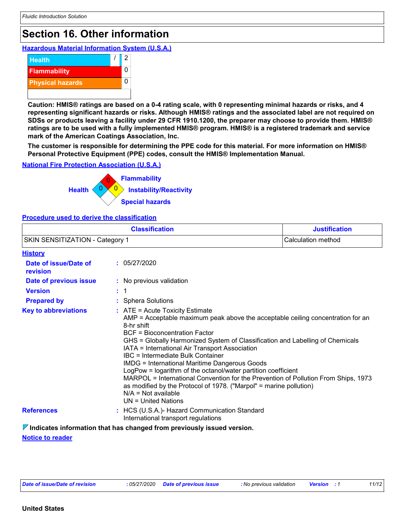# **Section 16. Other information**

**Hazardous Material Information System (U.S.A.)**



**Caution: HMIS® ratings are based on a 0-4 rating scale, with 0 representing minimal hazards or risks, and 4 representing significant hazards or risks. Although HMIS® ratings and the associated label are not required on SDSs or products leaving a facility under 29 CFR 1910.1200, the preparer may choose to provide them. HMIS® ratings are to be used with a fully implemented HMIS® program. HMIS® is a registered trademark and service mark of the American Coatings Association, Inc.**

**The customer is responsible for determining the PPE code for this material. For more information on HMIS® Personal Protective Equipment (PPE) codes, consult the HMIS® Implementation Manual.**

### **National Fire Protection Association (U.S.A.)**



### **Procedure used to derive the classification**

|                                   | <b>Justification</b>                                                                                                                                                                                                                                                                            |                                                                                                                                                                                                                                                                                                                                                                                                 |  |  |
|-----------------------------------|-------------------------------------------------------------------------------------------------------------------------------------------------------------------------------------------------------------------------------------------------------------------------------------------------|-------------------------------------------------------------------------------------------------------------------------------------------------------------------------------------------------------------------------------------------------------------------------------------------------------------------------------------------------------------------------------------------------|--|--|
| SKIN SENSITIZATION - Category 1   |                                                                                                                                                                                                                                                                                                 | Calculation method                                                                                                                                                                                                                                                                                                                                                                              |  |  |
| <b>History</b>                    |                                                                                                                                                                                                                                                                                                 |                                                                                                                                                                                                                                                                                                                                                                                                 |  |  |
| Date of issue/Date of<br>revision | : 05/27/2020                                                                                                                                                                                                                                                                                    |                                                                                                                                                                                                                                                                                                                                                                                                 |  |  |
| Date of previous issue            | : No previous validation                                                                                                                                                                                                                                                                        |                                                                                                                                                                                                                                                                                                                                                                                                 |  |  |
| <b>Version</b>                    |                                                                                                                                                                                                                                                                                                 |                                                                                                                                                                                                                                                                                                                                                                                                 |  |  |
| <b>Prepared by</b>                | : Sphera Solutions                                                                                                                                                                                                                                                                              |                                                                                                                                                                                                                                                                                                                                                                                                 |  |  |
| <b>Key to abbreviations</b>       | $:$ ATE = Acute Toxicity Estimate<br>8-hr shift<br><b>BCF</b> = Bioconcentration Factor<br>IATA = International Air Transport Association<br><b>IBC</b> = Intermediate Bulk Container<br><b>IMDG = International Maritime Dangerous Goods</b><br>$N/A = Not available$<br>$UN = United Nations$ | $AMP = Acceptable$ maximum peak above the acceptable ceiling concentration for an<br>GHS = Globally Harmonized System of Classification and Labelling of Chemicals<br>LogPow = logarithm of the octanol/water partition coefficient<br>MARPOL = International Convention for the Prevention of Pollution From Ships, 1973<br>as modified by the Protocol of 1978. ("Marpol" = marine pollution) |  |  |
| <b>References</b>                 | : HCS (U.S.A.)- Hazard Communication Standard<br>International transport regulations                                                                                                                                                                                                            |                                                                                                                                                                                                                                                                                                                                                                                                 |  |  |

**Indicates information that has changed from previously issued version.**

**Notice to reader**